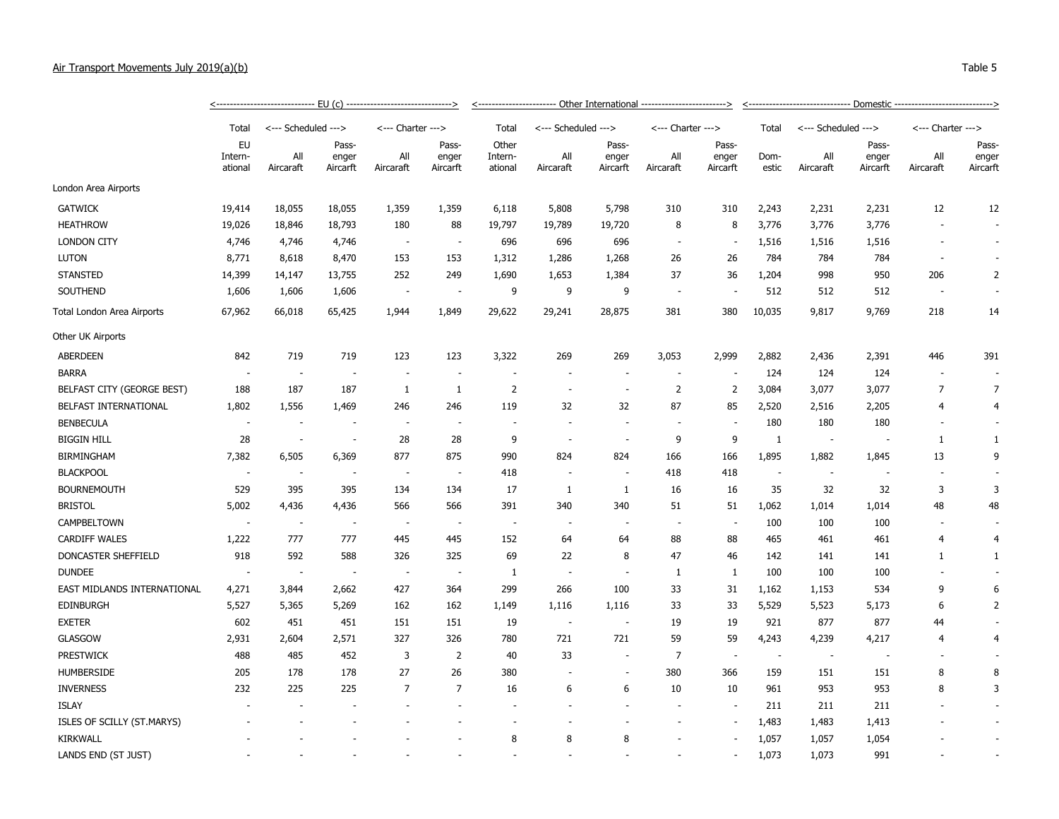| Air Transport Movements July 2019(a)(b) |                          |                               |                                            |                               |                            |                             |                       |                               |                               |                                                                               |               |                     |                            |                               | Table 5                    |
|-----------------------------------------|--------------------------|-------------------------------|--------------------------------------------|-------------------------------|----------------------------|-----------------------------|-----------------------|-------------------------------|-------------------------------|-------------------------------------------------------------------------------|---------------|---------------------|----------------------------|-------------------------------|----------------------------|
|                                         |                          | <---------------------------- | - EU (c) --------------------------------> |                               | ______________________     |                             | - Other International | ----------------------------- |                               | -- Domestic -----------------------------><br>------------------------------- |               |                     |                            |                               |                            |
|                                         | Total                    | <--- Scheduled --->           |                                            | $\leftarrow$ --- Charter ---> |                            | Total                       | <--- Scheduled --->   |                               | $\leftarrow$ --- Charter ---> |                                                                               | Total         | <--- Scheduled ---> |                            | $\leftarrow$ --- Charter ---> |                            |
|                                         | EU<br>Intern-<br>ational | All<br>Aircaraft              | Pass-<br>enger<br>Aircarft                 | All<br>Aircaraft              | Pass-<br>enger<br>Aircarft | Other<br>Intern-<br>ational | All<br>Aircaraft      | Pass-<br>enger<br>Aircarft    | All<br>Aircaraft              | Pass-<br>enger<br>Aircarft                                                    | Dom-<br>estic | All<br>Aircaraft    | Pass-<br>enger<br>Aircarft | All<br>Aircaraft              | Pass-<br>enger<br>Aircarft |
| London Area Airports                    |                          |                               |                                            |                               |                            |                             |                       |                               |                               |                                                                               |               |                     |                            |                               |                            |
| <b>GATWICK</b>                          | 19,414                   | 18,055                        | 18,055                                     | 1,359                         | 1,359                      | 6,118                       | 5,808                 | 5,798                         | 310                           | 310                                                                           | 2,243         | 2,231               | 2,231                      | 12                            | $12 \overline{ }$          |

|                             | ational                  | Aircaraft                | Aircarft                 | Aircaraft                | Aircarft                 | ational                  | Aircaraft                | Aircarft                 | Aircaraft                | Aircarft                 | estic        | Aircaraft | Aircarft | Aircaraft      | Aircarft       |
|-----------------------------|--------------------------|--------------------------|--------------------------|--------------------------|--------------------------|--------------------------|--------------------------|--------------------------|--------------------------|--------------------------|--------------|-----------|----------|----------------|----------------|
| London Area Airports        |                          |                          |                          |                          |                          |                          |                          |                          |                          |                          |              |           |          |                |                |
| <b>GATWICK</b>              | 19,414                   | 18,055                   | 18,055                   | 1,359                    | 1,359                    | 6,118                    | 5,808                    | 5,798                    | 310                      | 310                      | 2,243        | 2,231     | 2,231    | 12             | 12             |
| <b>HEATHROW</b>             | 19,026                   | 18,846                   | 18,793                   | 180                      | 88                       | 19,797                   | 19,789                   | 19,720                   | 8                        | 8                        | 3,776        | 3,776     | 3,776    |                | $\sim$         |
| <b>LONDON CITY</b>          | 4,746                    | 4,746                    | 4,746                    | $\overline{\phantom{a}}$ |                          | 696                      | 696                      | 696                      |                          | ч.                       | 1,516        | 1,516     | 1,516    |                | $\sim$         |
| <b>LUTON</b>                | 8,771                    | 8,618                    | 8,470                    | 153                      | 153                      | 1,312                    | 1,286                    | 1,268                    | 26                       | 26                       | 784          | 784       | 784      |                |                |
| <b>STANSTED</b>             | 14,399                   | 14,147                   | 13,755                   | 252                      | 249                      | 1,690                    | 1,653                    | 1,384                    | 37                       | 36                       | 1,204        | 998       | 950      | 206            | 2              |
| SOUTHEND                    | 1,606                    | 1,606                    | 1,606                    |                          |                          | 9                        | 9                        | 9                        | $\overline{\phantom{a}}$ |                          | 512          | 512       | 512      |                |                |
| Total London Area Airports  | 67,962                   | 66,018                   | 65,425                   | 1,944                    | 1,849                    | 29,622                   | 29,241                   | 28,875                   | 381                      | 380                      | 10,035       | 9,817     | 9,769    | 218            | 14             |
| Other UK Airports           |                          |                          |                          |                          |                          |                          |                          |                          |                          |                          |              |           |          |                |                |
| <b>ABERDEEN</b>             | 842                      | 719                      | 719                      | 123                      | 123                      | 3,322                    | 269                      | 269                      | 3,053                    | 2,999                    | 2,882        | 2,436     | 2,391    | 446            | 391            |
| <b>BARRA</b>                | $\overline{a}$           | $\overline{\phantom{a}}$ |                          |                          |                          |                          | ÷                        |                          |                          |                          | 124          | 124       | 124      |                |                |
| BELFAST CITY (GEORGE BEST)  | 188                      | 187                      | 187                      | $\mathbf{1}$             | 1                        | $\overline{2}$           | $\overline{\phantom{a}}$ | $\overline{\phantom{a}}$ | $\overline{2}$           | $\overline{2}$           | 3,084        | 3,077     | 3,077    | $\overline{7}$ | $\overline{7}$ |
| BELFAST INTERNATIONAL       | 1,802                    | 1,556                    | 1,469                    | 246                      | 246                      | 119                      | 32                       | 32                       | 87                       | 85                       | 2,520        | 2,516     | 2,205    | 4              | $\overline{4}$ |
| <b>BENBECULA</b>            | ÷,                       |                          |                          | $\overline{\phantom{a}}$ |                          | $\overline{\phantom{a}}$ |                          |                          |                          |                          | 180          | 180       | 180      |                |                |
| <b>BIGGIN HILL</b>          | 28                       | $\overline{\phantom{a}}$ |                          | 28                       | 28                       | 9                        |                          | $\overline{\phantom{a}}$ | 9                        | 9                        | $\mathbf{1}$ |           |          | $\mathbf{1}$   | $\mathbf{1}$   |
| <b>BIRMINGHAM</b>           | 7,382                    | 6,505                    | 6,369                    | 877                      | 875                      | 990                      | 824                      | 824                      | 166                      | 166                      | 1,895        | 1,882     | 1,845    | 13             | 9              |
| <b>BLACKPOOL</b>            | ÷,                       | $\sim$                   |                          | $\overline{\phantom{a}}$ |                          | 418                      | $\sim$                   | $\overline{\phantom{a}}$ | 418                      | 418                      | $\sim$       | $\sim$    |          |                | $\sim$         |
| <b>BOURNEMOUTH</b>          | 529                      | 395                      | 395                      | 134                      | 134                      | 17                       | 1                        | 1                        | 16                       | 16                       | 35           | 32        | 32       | 3              | 3              |
| <b>BRISTOL</b>              | 5,002                    | 4,436                    | 4,436                    | 566                      | 566                      | 391                      | 340                      | 340                      | 51                       | 51                       | 1,062        | 1,014     | 1,014    | 48             | 48             |
| CAMPBELTOWN                 | $\overline{\phantom{a}}$ | $\sim$                   |                          | $\overline{\phantom{a}}$ |                          | $\overline{\phantom{a}}$ | $\overline{\phantom{a}}$ | $\overline{\phantom{a}}$ |                          | $\overline{\phantom{a}}$ | 100          | 100       | 100      |                |                |
| <b>CARDIFF WALES</b>        | 1,222                    | 777                      | 777                      | 445                      | 445                      | 152                      | 64                       | 64                       | 88                       | 88                       | 465          | 461       | 461      | 4              | 4              |
| DONCASTER SHEFFIELD         | 918                      | 592                      | 588                      | 326                      | 325                      | 69                       | 22                       | 8                        | 47                       | 46                       | 142          | 141       | 141      | 1              | $\mathbf{1}$   |
| <b>DUNDEE</b>               | $\sim$                   | $\sim$                   | $\overline{\phantom{a}}$ | $\overline{\phantom{a}}$ | $\overline{\phantom{a}}$ | $\mathbf{1}$             | ÷.                       | ÷.                       | 1                        | 1                        | 100          | 100       | 100      |                |                |
| EAST MIDLANDS INTERNATIONAL | 4,271                    | 3,844                    | 2,662                    | 427                      | 364                      | 299                      | 266                      | 100                      | 33                       | 31                       | 1,162        | 1,153     | 534      | 9              | 6              |
| <b>EDINBURGH</b>            | 5,527                    | 5,365                    | 5,269                    | 162                      | 162                      | 1,149                    | 1,116                    | 1,116                    | 33                       | 33                       | 5,529        | 5,523     | 5,173    | 6              | $\overline{2}$ |
| <b>EXETER</b>               | 602                      | 451                      | 451                      | 151                      | 151                      | 19                       | $\overline{\phantom{a}}$ | $\overline{\phantom{a}}$ | 19                       | 19                       | 921          | 877       | 877      | 44             |                |
| GLASGOW                     | 2,931                    | 2,604                    | 2,571                    | 327                      | 326                      | 780                      | 721                      | 721                      | 59                       | 59                       | 4,243        | 4,239     | 4,217    | 4              | 4              |
| <b>PRESTWICK</b>            | 488                      | 485                      | 452                      | 3                        | 2                        | 40                       | 33                       |                          | $\overline{7}$           |                          |              |           |          |                |                |
| <b>HUMBERSIDE</b>           | 205                      | 178                      | 178                      | 27                       | 26                       | 380                      |                          |                          | 380                      | 366                      | 159          | 151       | 151      | 8              | 8              |
| <b>INVERNESS</b>            | 232                      | 225                      | 225                      | 7                        | $\overline{7}$           | 16                       | 6                        | 6                        | 10                       | 10                       | 961          | 953       | 953      | 8              | 3              |
| <b>ISLAY</b>                |                          |                          |                          |                          |                          |                          |                          |                          |                          |                          | 211          | 211       | 211      |                |                |
| ISLES OF SCILLY (ST.MARYS)  |                          |                          |                          |                          |                          |                          |                          |                          |                          |                          | 1,483        | 1,483     | 1,413    |                |                |
| <b>KIRKWALL</b>             |                          |                          |                          |                          |                          | 8                        | 8                        | 8                        |                          |                          | 1,057        | 1,057     | 1,054    |                |                |
| LANDS END (ST JUST)         |                          |                          |                          |                          |                          | ٠                        |                          |                          |                          |                          | 1,073        | 1,073     | 991      |                |                |